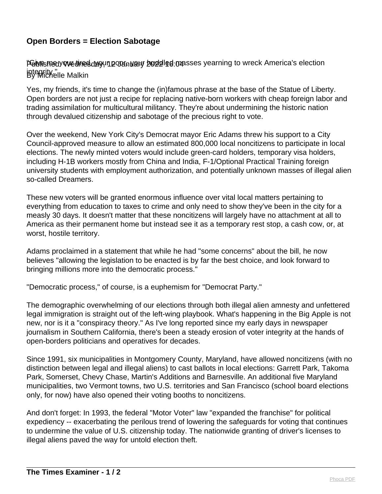## **Open Borders = Election Sabotage**

Pelvishedy we dired day un poot nuary buddled masses yearning to wreck America's election integrity.<sup>"</sup><br>By Michelle Malkin

Yes, my friends, it's time to change the (in)famous phrase at the base of the Statue of Liberty. Open borders are not just a recipe for replacing native-born workers with cheap foreign labor and trading assimilation for multicultural militancy. They're about undermining the historic nation through devalued citizenship and sabotage of the precious right to vote.

Over the weekend, New York City's Democrat mayor Eric Adams threw his support to a City Council-approved measure to allow an estimated 800,000 local noncitizens to participate in local elections. The newly minted voters would include green-card holders, temporary visa holders, including H-1B workers mostly from China and India, F-1/Optional Practical Training foreign university students with employment authorization, and potentially unknown masses of illegal alien so-called Dreamers.

These new voters will be granted enormous influence over vital local matters pertaining to everything from education to taxes to crime and only need to show they've been in the city for a measly 30 days. It doesn't matter that these noncitizens will largely have no attachment at all to America as their permanent home but instead see it as a temporary rest stop, a cash cow, or, at worst, hostile territory.

Adams proclaimed in a statement that while he had "some concerns" about the bill, he now believes "allowing the legislation to be enacted is by far the best choice, and look forward to bringing millions more into the democratic process."

"Democratic process," of course, is a euphemism for "Democrat Party."

The demographic overwhelming of our elections through both illegal alien amnesty and unfettered legal immigration is straight out of the left-wing playbook. What's happening in the Big Apple is not new, nor is it a "conspiracy theory." As I've long reported since my early days in newspaper journalism in Southern California, there's been a steady erosion of voter integrity at the hands of open-borders politicians and operatives for decades.

Since 1991, six municipalities in Montgomery County, Maryland, have allowed noncitizens (with no distinction between legal and illegal aliens) to cast ballots in local elections: Garrett Park, Takoma Park, Somerset, Chevy Chase, Martin's Additions and Barnesville. An additional five Maryland municipalities, two Vermont towns, two U.S. territories and San Francisco (school board elections only, for now) have also opened their voting booths to noncitizens.

And don't forget: In 1993, the federal "Motor Voter" law "expanded the franchise" for political expediency -- exacerbating the perilous trend of lowering the safeguards for voting that continues to undermine the value of U.S. citizenship today. The nationwide granting of driver's licenses to illegal aliens paved the way for untold election theft.